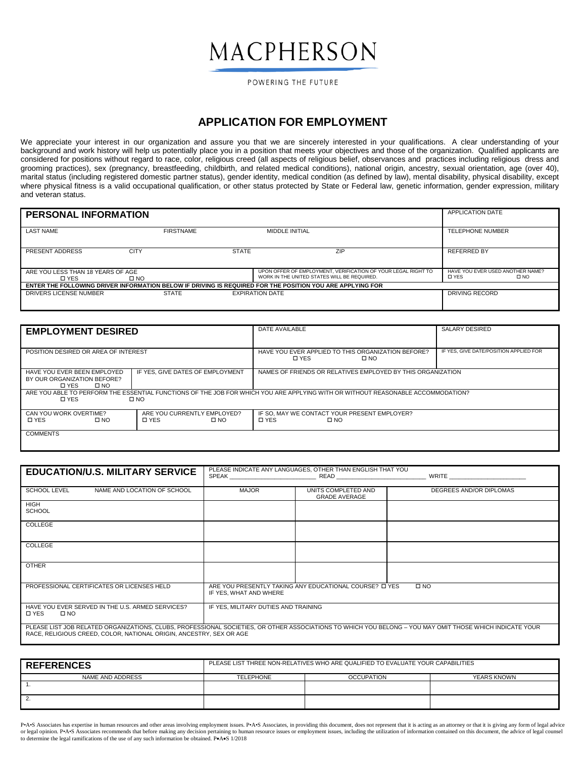## MACPHERSON

POWERING THE FUTURE

## **APPLICATION FOR EMPLOYMENT**

We appreciate your interest in our organization and assure you that we are sincerely interested in your qualifications. A clear understanding of your background and work history will help us potentially place you in a position that meets your objectives and those of the organization. Qualified applicants are considered for positions without regard to race, color, religious creed (all aspects of religious belief, observances and practices including religious dress and grooming practices), sex (pregnancy, breastfeeding, childbirth, and related medical conditions), national origin, ancestry, sexual orientation, age (over 40), marital status (including registered domestic partner status), gender identity, medical condition (as defined by law), mental disability, physical disability, except where physical fitness is a valid occupational qualification, or other status protected by State or Federal law, genetic information, gender expression, military and veteran status.

| <b>PERSONAL INFORMATION</b>                       |                  |              |                                                                                                              | <b>APPLICATION DATE</b>                                          |
|---------------------------------------------------|------------------|--------------|--------------------------------------------------------------------------------------------------------------|------------------------------------------------------------------|
| <b>LAST NAME</b>                                  | <b>FIRSTNAME</b> |              | MIDDLE INITIAL                                                                                               | <b>TELEPHONE NUMBER</b>                                          |
| PRESENT ADDRESS                                   | <b>CITY</b>      | <b>STATE</b> | <b>ZIP</b>                                                                                                   | REFERRED BY                                                      |
|                                                   |                  |              |                                                                                                              |                                                                  |
| ARE YOU LESS THAN 18 YEARS OF AGE<br><b>D</b> YES | $\square$ NO     |              | UPON OFFER OF EMPLOYMENT. VERIFICATION OF YOUR LEGAL RIGHT TO<br>WORK IN THE UNITED STATES WILL BE REQUIRED. | HAVE YOU EVER USED ANOTHER NAME?<br><b>D</b> YES<br>$\square$ NO |
|                                                   |                  |              | ENTER THE FOLLOWING DRIVER INFORMATION BELOW IF DRIVING IS REQUIRED FOR THE POSITION YOU ARE APPLYING FOR    |                                                                  |
| DRIVERS LICENSE NUMBER                            | <b>STATE</b>     |              | <b>EXPIRATION DATE</b>                                                                                       | DRIVING RECORD                                                   |
|                                                   |                  |              |                                                                                                              |                                                                  |

| <b>EMPLOYMENT DESIRED</b>                                                           |                                                             | DATE AVAILABLE                                                                                                                  | SALARY DESIRED                         |  |  |  |
|-------------------------------------------------------------------------------------|-------------------------------------------------------------|---------------------------------------------------------------------------------------------------------------------------------|----------------------------------------|--|--|--|
| POSITION DESIRED OR AREA OF INTEREST                                                |                                                             | HAVE YOU EVER APPLIED TO THIS ORGANIZATION BEFORE?<br><b>D</b> YES<br>$\square$ NO                                              | IF YES. GIVE DATE/POSITION APPLIED FOR |  |  |  |
| HAVE YOU EVER BEEN EMPLOYED<br>BY OUR ORGANIZATION BEFORE?<br>□ YES<br>$\square$ NO | IF YES. GIVE DATES OF EMPLOYMENT                            | NAMES OF FRIENDS OR RELATIVES EMPLOYED BY THIS ORGANIZATION                                                                     |                                        |  |  |  |
| <b>D</b> YES                                                                        | $\square$ NO                                                | ARE YOU ABLE TO PERFORM THE ESSENTIAL FUNCTIONS OF THE JOB FOR WHICH YOU ARE APPLYING WITH OR WITHOUT REASONABLE ACCOMMODATION? |                                        |  |  |  |
| CAN YOU WORK OVERTIME?<br><b>D</b> YES<br>$\square$ NO                              | ARE YOU CURRENTLY EMPLOYED?<br><b>D</b> YES<br>$\square$ NO | IF SO, MAY WE CONTACT YOUR PRESENT EMPLOYER?<br><b>D</b> YES<br>$\square$ NO                                                    |                                        |  |  |  |
| <b>COMMENTS</b>                                                                     |                                                             |                                                                                                                                 |                                        |  |  |  |

| <b>EDUCATION/U.S. MILITARY SERVICE</b>                                                                                                                                                                                          |                                                                                                   | PLEASE INDICATE ANY LANGUAGES, OTHER THAN ENGLISH THAT YOU<br>SPEAK READ READ | WRITE <b>Example 1999</b> |  |  |
|---------------------------------------------------------------------------------------------------------------------------------------------------------------------------------------------------------------------------------|---------------------------------------------------------------------------------------------------|-------------------------------------------------------------------------------|---------------------------|--|--|
| <b>SCHOOL LEVEL</b><br>NAME AND LOCATION OF SCHOOL                                                                                                                                                                              | <b>MAJOR</b>                                                                                      | UNITS COMPLETED AND<br><b>GRADE AVERAGE</b>                                   | DEGREES AND/OR DIPLOMAS   |  |  |
| <b>HIGH</b><br><b>SCHOOL</b>                                                                                                                                                                                                    |                                                                                                   |                                                                               |                           |  |  |
| COLLEGE                                                                                                                                                                                                                         |                                                                                                   |                                                                               |                           |  |  |
| COLLEGE                                                                                                                                                                                                                         |                                                                                                   |                                                                               |                           |  |  |
| <b>OTHER</b>                                                                                                                                                                                                                    |                                                                                                   |                                                                               |                           |  |  |
| PROFESSIONAL CERTIFICATES OR LICENSES HELD                                                                                                                                                                                      | ARE YOU PRESENTLY TAKING ANY EDUCATIONAL COURSE? IT YES<br>$\square$ NO<br>IF YES, WHAT AND WHERE |                                                                               |                           |  |  |
| HAVE YOU EVER SERVED IN THE U.S. ARMED SERVICES?<br><b>D</b> YES<br>$\square$ NO                                                                                                                                                | IF YES, MILITARY DUTIES AND TRAINING                                                              |                                                                               |                           |  |  |
| PLEASE LIST JOB RELATED ORGANIZATIONS, CLUBS, PROFESSIONAL SOCIETIES, OR OTHER ASSOCIATIONS TO WHICH YOU BELONG - YOU MAY OMIT THOSE WHICH INDICATE YOUR<br>RACE, RELIGIOUS CREED, COLOR, NATIONAL ORIGIN, ANCESTRY, SEX OR AGE |                                                                                                   |                                                                               |                           |  |  |

| <b>REFERENCES</b> | PLEASE LIST THREE NON-RELATIVES WHO ARE QUALIFIED TO EVALUATE YOUR CAPABILITIES |                   |             |  |  |
|-------------------|---------------------------------------------------------------------------------|-------------------|-------------|--|--|
| NAME AND ADDRESS  | <b>TELEPHONE</b>                                                                | <b>OCCUPATION</b> | YEARS KNOWN |  |  |
|                   |                                                                                 |                   |             |  |  |
| 2.                |                                                                                 |                   |             |  |  |

P-A-S Associates has expertise in human resources and other areas involving employment issues. P+A-S Associates, in providing this document, does not represent that it is acting as an attorney or that it is giving any form or legal opinion. PAS Associates recommends that before making any decision pertaining to human resource issues or employment issues, including the utilization of information contained on this document, the advice of legal to determine the legal ramifications of the use of any such information be obtained. P•A•S 1/2018